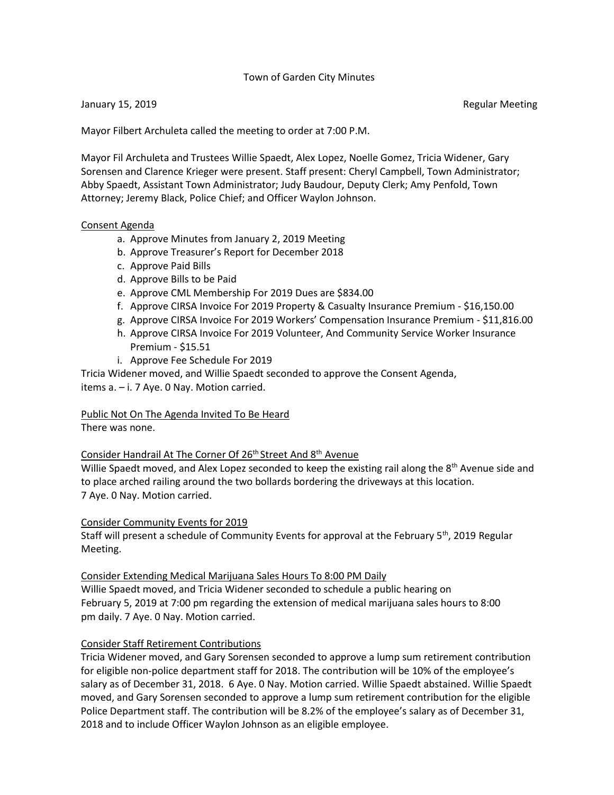### Town of Garden City Minutes

### January 15, 2019 **Regular Meeting** Control of the United States of the Regular Meeting

Mayor Filbert Archuleta called the meeting to order at 7:00 P.M.

Mayor Fil Archuleta and Trustees Willie Spaedt, Alex Lopez, Noelle Gomez, Tricia Widener, Gary Sorensen and Clarence Krieger were present. Staff present: Cheryl Campbell, Town Administrator; Abby Spaedt, Assistant Town Administrator; Judy Baudour, Deputy Clerk; Amy Penfold, Town Attorney; Jeremy Black, Police Chief; and Officer Waylon Johnson.

#### Consent Agenda

- a. Approve Minutes from January 2, 2019 Meeting
- b. Approve Treasurer's Report for December 2018
- c. Approve Paid Bills
- d. Approve Bills to be Paid
- e. Approve CML Membership For 2019 Dues are \$834.00
- f. Approve CIRSA Invoice For 2019 Property & Casualty Insurance Premium \$16,150.00
- g. Approve CIRSA Invoice For 2019 Workers' Compensation Insurance Premium \$11,816.00
- h. Approve CIRSA Invoice For 2019 Volunteer, And Community Service Worker Insurance Premium - \$15.51
- i. Approve Fee Schedule For 2019

Tricia Widener moved, and Willie Spaedt seconded to approve the Consent Agenda, items a. – i. 7 Aye. 0 Nay. Motion carried.

Public Not On The Agenda Invited To Be Heard

There was none.

### Consider Handrail At The Corner Of 26<sup>th</sup> Street And 8<sup>th</sup> Avenue

Willie Spaedt moved, and Alex Lopez seconded to keep the existing rail along the 8<sup>th</sup> Avenue side and to place arched railing around the two bollards bordering the driveways at this location. 7 Aye. 0 Nay. Motion carried.

### Consider Community Events for 2019

Staff will present a schedule of Community Events for approval at the February  $5<sup>th</sup>$ , 2019 Regular Meeting.

### Consider Extending Medical Marijuana Sales Hours To 8:00 PM Daily

Willie Spaedt moved, and Tricia Widener seconded to schedule a public hearing on February 5, 2019 at 7:00 pm regarding the extension of medical marijuana sales hours to 8:00 pm daily. 7 Aye. 0 Nay. Motion carried.

### Consider Staff Retirement Contributions

Tricia Widener moved, and Gary Sorensen seconded to approve a lump sum retirement contribution for eligible non-police department staff for 2018. The contribution will be 10% of the employee's salary as of December 31, 2018. 6 Aye. 0 Nay. Motion carried. Willie Spaedt abstained. Willie Spaedt moved, and Gary Sorensen seconded to approve a lump sum retirement contribution for the eligible Police Department staff. The contribution will be 8.2% of the employee's salary as of December 31, 2018 and to include Officer Waylon Johnson as an eligible employee.